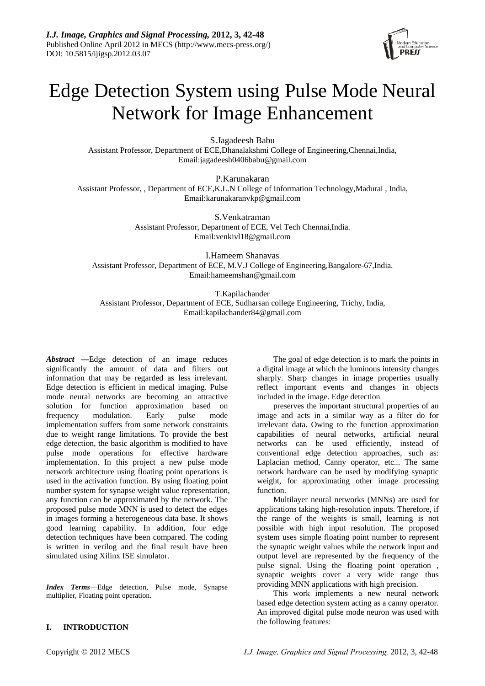

# Edge Detection System using Pulse Mode Neural Network for Image Enhancement

S.Jagadeesh Babu Assistant Professor, Department of ECE,Dhanalakshmi College of Engineering,Chennai,India, Email:jagadeesh0406babu@gmail.com

P.Karunakaran Assistant Professor, , Department of ECE,K.L.N College of Information Technology,Madurai , India, Email:karunakaranvkp@gmail.com

> S.Venkatraman Assistant Professor, Department of ECE, Vel Tech Chennai,India. Email:venkivl18@gmail.com

I.Hameem Shanavas Assistant Professor, Department of ECE, M.V.J College of Engineering,Bangalore-67,India. Email:hameemshan@gmail.com

T.Kapilachander

Assistant Professor, Department of ECE, Sudharsan college Engineering, Trichy, India, Email:kapilachander84@gmail.com

*Abstract* **—**Edge detection of an image reduces significantly the amount of data and filters out information that may be regarded as less irrelevant. Edge detection is efficient in medical imaging. Pulse mode neural networks are becoming an attractive solution for function approximation based on frequency modulation. Early pulse mode implementation suffers from some network constraints due to weight range limitations. To provide the best edge detection, the basic algorithm is modified to have pulse mode operations for effective hardware implementation. In this project a new pulse mode network architecture using floating point operations is used in the activation function. By using floating point number system for synapse weight value representation, any function can be approximated by the network. The proposed pulse mode MNN is used to detect the edges in images forming a heterogeneous data base. It shows good learning capability. In addition, four edge detection techniques have been compared. The coding is written in verilog and the final result have been simulated using Xilinx ISE simulator.

*Index Terms*—Edge detection, Pulse mode, Synapse multiplier, Floating point operation.

The goal of edge detection is to mark the points in a digital image at which the luminous intensity changes sharply. Sharp changes in image properties usually reflect important events and changes in objects included in the image. Edge detection

preserves the important structural properties of an image and acts in a similar way as a filter do for irrelevant data. Owing to the function approximation capabilities of neural networks, artificial neural networks can be used efficiently, instead of conventional edge detection approaches, such as: Laplacian method, Canny operator, etc... The same network hardware can be used by modifying synaptic weight, for approximating other image processing function.

Multilayer neural networks (MNNs) are used for applications taking high-resolution inputs. Therefore, if the range of the weights is small, learning is not possible with high input resolution. The proposed system uses simple floating point number to represent the synaptic weight values while the network input and output level are represented by the frequency of the pulse signal. Using the floating point operation , synaptic weights cover a very wide range thus providing MNN applications with high precision.

This work implements a new neural network based edge detection system acting as a canny operator. An improved digital pulse mode neuron was used with the following features:

# **I. INTRODUCTION**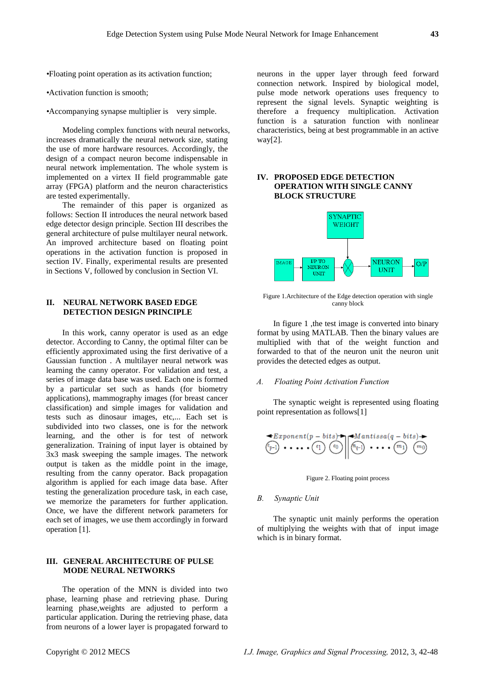*•*Floating point operation as its activation function;

*•*Activation function is smooth;

*•*Accompanying synapse multiplier is very simple.

Modeling complex functions with neural networks, increases dramatically the neural network size, stating the use of more hardware resources. Accordingly, the design of a compact neuron become indispensable in neural network implementation. The whole system is implemented on a virtex II field programmable gate array (FPGA) platform and the neuron characteristics are tested experimentally.

The remainder of this paper is organized as follows: Section II introduces the neural network based edge detector design principle. Section III describes the general architecture of pulse multilayer neural network. An improved architecture based on floating point operations in the activation function is proposed in section IV. Finally, experimental results are presented in Sections V, followed by conclusion in Section VI.

## **II. NEURAL NETWORK BASED EDGE DETECTION DESIGN PRINCIPLE**

In this work, canny operator is used as an edge detector. According to Canny, the optimal filter can be efficiently approximated using the first derivative of a Gaussian function . A multilayer neural network was learning the canny operator. For validation and test, a series of image data base was used. Each one is formed by a particular set such as hands (for biometry applications), mammography images (for breast cancer classification) and simple images for validation and tests such as dinosaur images, etc,... Each set is subdivided into two classes, one is for the network learning, and the other is for test of network generalization. Training of input layer is obtained by 3x3 mask sweeping the sample images. The network output is taken as the middle point in the image, resulting from the canny operator. Back propagation algorithm is applied for each image data base. After testing the generalization procedure task, in each case, we memorize the parameters for further application. Once, we have the different network parameters for each set of images, we use them accordingly in forward operation [1].

## **III. GENERAL ARCHITECTURE OF PULSE MODE NEURAL NETWORKS**

The operation of the MNN is divided into two phase, learning phase and retrieving phase. During learning phase,weights are adjusted to perform a particular application. During the retrieving phase, data from neurons of a lower layer is propagated forward to

neurons in the upper layer through feed forward connection network. Inspired by biological model, pulse mode network operations uses frequency to represent the signal levels. Synaptic weighting is therefore a frequency multiplication. Activation function is a saturation function with nonlinear characteristics, being at best programmable in an active way[2].

## **IV. PROPOSED EDGE DETECTION OPERATION WITH SINGLE CANNY BLOCK STRUCTURE**



Figure 1.Architecture of the Edge detection operation with single canny block

In figure 1 ,the test image is converted into binary format by using MATLAB. Then the binary values are multiplied with that of the weight function and forwarded to that of the neuron unit the neuron unit provides the detected edges as output.

#### *A. Floating Point Activation Function*

The synaptic weight is represented using floating point representation as follows[1]

$$
\bigoplus_{(p-1)} \mathbf{f} \mathbf{f} \mathbf{f} \mathbf{f} \mathbf{f} \mathbf{f} \mathbf{f} \mathbf{f} \mathbf{f} \mathbf{f} \mathbf{f} \mathbf{f} \mathbf{f} \mathbf{f} \mathbf{f} \mathbf{f} \mathbf{f} \mathbf{f} \mathbf{f} \mathbf{f} \mathbf{f} \mathbf{f} \mathbf{f} \mathbf{f} \mathbf{f} \mathbf{f} \mathbf{f} \mathbf{f} \mathbf{f} \mathbf{f} \mathbf{f} \mathbf{f} \mathbf{f} \mathbf{f} \mathbf{f} \mathbf{f} \mathbf{f} \mathbf{f} \mathbf{f} \mathbf{f} \mathbf{f} \mathbf{f} \mathbf{f} \mathbf{f} \mathbf{f} \mathbf{f} \mathbf{f} \mathbf{f} \mathbf{f} \mathbf{f} \mathbf{f} \mathbf{f} \mathbf{f} \mathbf{f} \mathbf{f} \mathbf{f} \mathbf{f} \mathbf{f} \mathbf{f} \mathbf{f} \mathbf{f} \mathbf{f} \mathbf{f} \mathbf{f} \mathbf{f} \mathbf{f} \mathbf{f} \mathbf{f} \mathbf{f} \mathbf{f} \mathbf{f} \mathbf{f} \mathbf{f} \mathbf{f} \mathbf{f} \mathbf{f} \mathbf{f} \mathbf{f} \mathbf{f} \mathbf{f} \mathbf{f} \mathbf{f} \mathbf{f} \mathbf{f} \mathbf{f} \mathbf{f} \mathbf{f} \mathbf{f} \mathbf{f} \mathbf{f} \mathbf{f} \mathbf{f} \mathbf{f} \mathbf{f} \mathbf{f} \mathbf{f} \mathbf{f} \mathbf{f} \mathbf{f} \mathbf{f} \mathbf{f} \mathbf{f} \mathbf{f} \mathbf{f} \mathbf{f} \mathbf{f} \mathbf{f} \mathbf{f} \mathbf{f} \mathbf{f} \mathbf{f} \mathbf{f} \mathbf{f} \mathbf{f} \mathbf{f} \mathbf{f} \mathbf{f} \mathbf{f} \mathbf{f} \mathbf{f} \mathbf{f} \mathbf{f} \mathbf{f} \mathbf{f} \mathbf{f}
$$

Figure 2. Floating point process

#### *B. Synaptic Unit*

The synaptic unit mainly performs the operation of multiplying the weights with that of input image which is in binary format.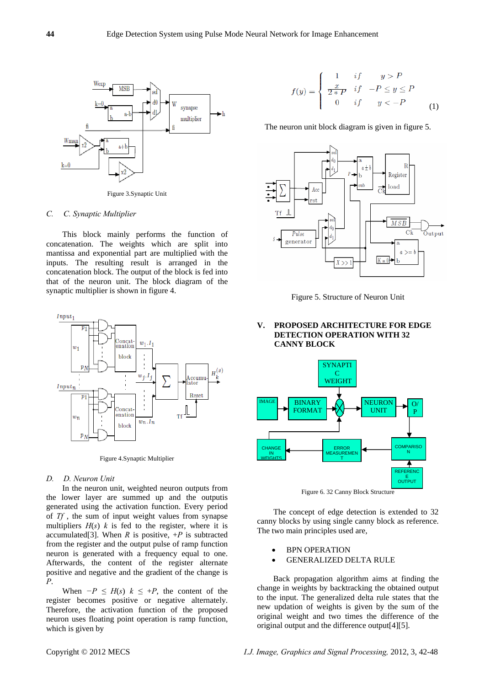

Figure 3.Synaptic Unit

#### *C. C. Synaptic Multiplier*

This block mainly performs the function of concatenation. The weights which are split into mantissa and exponential part are multiplied with the inputs. The resulting result is arranged in the concatenation block. The output of the block is fed into that of the neuron unit. The block diagram of the synaptic multiplier is shown in figure 4.



Figure 4.Synaptic Multiplier

## *D. D. Neuron Unit*

In the neuron unit, weighted neuron outputs from the lower layer are summed up and the outputis generated using the activation function. Every period of *Tf* , the sum of input weight values from synapse multipliers  $H(s)$  *k* is fed to the register, where it is accumulated<sup>[3]</sup>. When *R* is positive,  $+P$  is subtracted from the register and the output pulse of ramp function neuron is generated with a frequency equal to one. Afterwards, the content of the register alternate positive and negative and the gradient of the change is *P*.

When  $-P \leq H(s)$   $k \leq +P$ , the content of the register becomes positive or negative alternately. Therefore, the activation function of the proposed neuron uses floating point operation is ramp function, which is given by

$$
f(y) = \begin{cases} 1 & \text{if } y > P \\ \frac{x}{2*P} & \text{if } -P \le y \le P \\ 0 & \text{if } y < -P \end{cases}
$$
 (1)

The neuron unit block diagram is given in figure 5.



Figure 5. Structure of Neuron Unit

## **V. PROPOSED ARCHITECTURE FOR EDGE DETECTION OPERATION WITH 32 CANNY BLOCK**



Figure 6. 32 Canny Block Structure

The concept of edge detection is extended to 32 canny blocks by using single canny block as reference. The two main principles used are,

- BPN OPERATION
- GENERALIZED DELTA RULE

Back propagation algorithm aims at finding the change in weights by backtracking the obtained output to the input. The generalized delta rule states that the new updation of weights is given by the sum of the original weight and two times the difference of the original output and the difference output[4][5].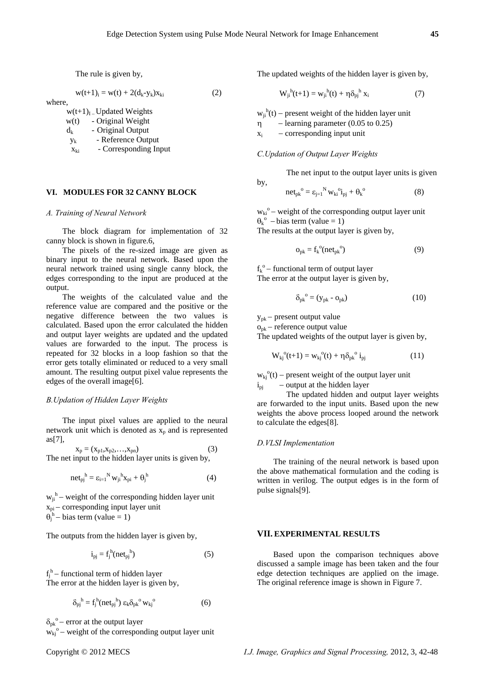by,

The rule is given by,

$$
w(t+1)_i = w(t) + 2(d_k - y_k)x_{ki}
$$
 (2)

where,

 $w(t+1)<sub>I</sub>$  – Updated Weights

| w(t)            | - Original Weight     |
|-----------------|-----------------------|
| $d_k$           | - Original Output     |
| Уk              | - Reference Output    |
| X <sub>ki</sub> | - Corresponding Input |

## **VI. MODULES FOR 32 CANNY BLOCK**

#### *A. Training of Neural Network*

The block diagram for implementation of 32 canny block is shown in figure.6,

The pixels of the re-sized image are given as binary input to the neural network. Based upon the neural network trained using single canny block, the edges corresponding to the input are produced at the output.

The weights of the calculated value and the reference value are compared and the positive or the negative difference between the two values is calculated. Based upon the error calculated the hidden and output layer weights are updated and the updated values are forwarded to the input. The process is repeated for 32 blocks in a loop fashion so that the error gets totally eliminated or reduced to a very small amount. The resulting output pixel value represents the edges of the overall image[6].

### *B.Updation of Hidden Layer Weights*

The input pixel values are applied to the neural network unit which is denoted as  $x_p$  and is represented as[7],

$$
x_p = (x_{p1}, x_{p2}, \dots, x_{pn})
$$
 (3)  
The net input to the hidden layer units is given by,

$$
net_{pj}^{\ h} = \varepsilon_{i=1}^{\ N} w_{ji}^{\ h} x_{pi} + \theta_j^{\ h} \tag{4}
$$

 $w_{ji}$ <sup>h</sup> – weight of the corresponding hidden layer unit  $x_{pi}$  - corresponding input layer unit  $\theta_j^{\text{h}}$  – bias term (value = 1)

The outputs from the hidden layer is given by,

$$
i_{pj} = f_j^{\text{h}}(net_{pj}^{\text{h}})
$$
 (5)

 $f_j^h$  – functional term of hidden layer The error at the hidden layer is given by,

$$
\delta_{\rm pj}^{\ \ \rm h} = f_j^{\ \rm h}(\rm net_{\rm pj}^{\ \ \rm h})\ \varepsilon_k \delta_{\rm pk}^{\ \ \rm o} \, \rm w_{\rm kj}^{\ \ \rm o} \tag{6}
$$

 $\delta_{\rm pk}^{\rm o}$  – error at the output layer

 $w_{kj}^{\ o}$  – weight of the corresponding output layer unit

The updated weights of the hidden layer is given by,

$$
W_{ji}^{\ h}(t+1) = w_{ji}^{\ h}(t) + \eta \delta_{pj}^{\ h} x_i \tag{7}
$$

 $w_{ji}^{h}(t)$  – present weight of the hidden layer unit

 $\eta$  – learning parameter (0.05 to 0.25)

 $x_i$  – corresponding input unit

### *C.Updation of Output Layer Weights*

The net input to the output layer units is given

$$
net_{pk}^{\circ} = \varepsilon_{j=1}^{N} w_{ki}^{\circ i} i_{pj} + \theta_k^{\circ}
$$
 (8)

 $w_{ki}^{\ o}$  – weight of the corresponding output layer unit  $\theta_k^{\circ}$  – bias term (value = 1) The results at the output layer is given by,

$$
o_{pk} = f_k^{\circ}(\text{net}_{pk}^{\circ})
$$
 (9)

 $f_k^{\circ}$  – functional term of output layer The error at the output layer is given by,

 $\delta_{\rm pk}^{\rm o} = (y_{\rm pk} - o_{\rm pk})$  (10)

 $y_{pk}$  – present output value

 $o_{pk}$  – reference output value

The updated weights of the output layer is given by,

$$
W_{kj}^{\ 0}(t+1) = w_{kj}^{\ 0}(t) + \eta \delta_{pk}^{\ 0} i_{pj} \tag{11}
$$

 $w_{ki}^{\ o}(t)$  – present weight of the output layer unit  $i_{pi}$  – output at the hidden layer

 The updated hidden and output layer weights are forwarded to the input units. Based upon the new weights the above process looped around the network to calculate the edges[8].

#### *D.VLSI Implementation*

The training of the neural network is based upon the above mathematical formulation and the coding is written in verilog. The output edges is in the form of pulse signals[9].

## **VII. EXPERIMENTAL RESULTS**

Based upon the comparison techniques above discussed a sample image has been taken and the four edge detection techniques are applied on the image. The original reference image is shown in Figure 7.

Copyright © 2012 MECS *I.J. Image, Graphics and Signal Processing,* 2012, 3, 42-48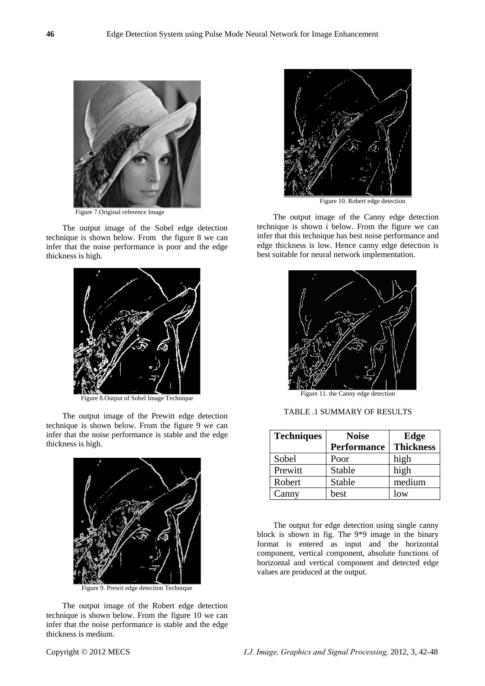

Figure 7.Original reference Image

The output image of the Sobel edge detection technique is shown below. From the figure 8 we can infer that the noise performance is poor and the edge thickness is high.



Figure 8.Output of Sobel Image Technique

The output image of the Prewitt edge detection technique is shown below. From the figure 9 we can infer that the noise performance is stable and the edge thickness is high.



Figure 9. Prewit edge detection Technique

The output image of the Robert edge detection technique is shown below. From the figure 10 we can infer that the noise performance is stable and the edge thickness is medium.



Figure 10. Robert edge detection

The output image of the Canny edge detection technique is shown i below. From the figure we can infer that this technique has best noise performance and edge thickness is low. Hence canny edge detection is best suitable for neural network implementation.



TABLE .1 SUMMARY OF RESULTS

| <b>Techniques</b> | <b>Noise</b>       | Edge             |  |
|-------------------|--------------------|------------------|--|
|                   | <b>Performance</b> | <b>Thickness</b> |  |
| Sobel             | Poor               | high             |  |
| Prewitt           | <b>Stable</b>      | high             |  |
| Robert            | Stable             | medium           |  |
| Canny             | best               | low              |  |

The output for edge detection using single canny block is shown in fig. The 9\*9 image in the binary format is entered as input and the horizontal component, vertical component, absolute functions of horizontal and vertical component and detected edge values are produced at the output.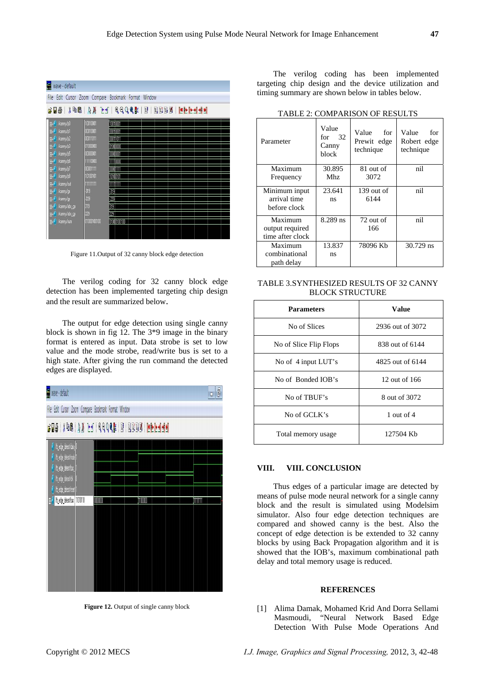| wave - default<br>File Edit Cursor Zoom Compare Bookmark Format Window |             |                |  |  |
|------------------------------------------------------------------------|-------------|----------------|--|--|
|                                                                        |             |                |  |  |
| <b>SHO &amp; SHE BEER TO COOOR TO BEER SHOW</b>                        |             |                |  |  |
| G- <sup>2</sup> /canny/p0                                              | 10010001    | 10010001       |  |  |
| G- <sup>4</sup> /canny/p1                                              | 00010001    | <b>COOKOOT</b> |  |  |
| B- /canny/p2                                                           | 00011011    | 00011011       |  |  |
| <sup>2</sup> /canny/p3                                                 | 01000000    | 0100000        |  |  |
| G- <sup>0</sup> /canny/p5                                              | 00000001    | 0000001        |  |  |
| B- <sup>3</sup> /canny/p6                                              | 11110000    | 11110000       |  |  |
| El- <sup>0</sup> /canny/p7                                             | 00001111    | 00001111       |  |  |
| Ganny/p8                                                               | 10100101    | 10100101       |  |  |
| Fi- <sup>2</sup> /canny/out                                            | 11111111    | <b>TITHETI</b> |  |  |
| G- <sup>2</sup> /canny/gx                                              | $-319$      | -319           |  |  |
| E- /canny/gy                                                           | 223         | 77             |  |  |
| G- / /canny/abs_gx                                                     | 319         | 319            |  |  |
| a- /canny/abs_gy                                                       | 229         | 229            |  |  |
| <b>El-</b> /canny/sum                                                  | 01000100100 | 01000100100    |  |  |
|                                                                        |             |                |  |  |

Figure 11.Output of 32 canny block edge detection

The verilog coding for 32 canny block edge detection has been implemented targeting chip design and the result are summarized below.

The output for edge detection using single canny block is shown in fig 12. The 3\*9 image in the binary format is entered as input. Data strobe is set to low value and the mode strobe, read/write bus is set to a high state. After giving the run command the detected edges are displayed.



**Figure 12.** Output of single canny block

The verilog coding has been implemented targeting chip design and the device utilization and timing summary are shown below in tables below.

| Parameter        | Value<br>for $32$<br>Canny<br>block | Value<br>for<br>Prewit edge<br>technique | Value<br>for<br>Robert edge<br>technique |
|------------------|-------------------------------------|------------------------------------------|------------------------------------------|
| Maximum          | 30.895                              | 81 out of                                | nil                                      |
| Frequency        | Mhz.                                | 3072                                     |                                          |
| Minimum input    | 23.641                              | $139$ out of                             | nil                                      |
| arrival time     | ns                                  | 6144                                     |                                          |
| before clock     |                                     |                                          |                                          |
| Maximum          | 8.289 ns                            | 72 out of                                | nil                                      |
| output required  |                                     | 166                                      |                                          |
| time after clock |                                     |                                          |                                          |
| Maximum          | 13.837                              | 78096 Kb                                 | 30.729 ns                                |
| combinational    | ns                                  |                                          |                                          |
| path delay       |                                     |                                          |                                          |

TABLE 2: COMPARISON OF RESULTS

| TABLE 3.SYNTHESIZED RESULTS OF 32 CANNY |
|-----------------------------------------|
| <b>BLOCK STRUCTURE</b>                  |

| <b>Parameters</b>      | <b>Value</b>     |
|------------------------|------------------|
| No of Slices           | 2936 out of 3072 |
| No of Slice Flip Flops | 838 out of 6144  |
| No of 4 input LUT's    | 4825 out of 6144 |
| No of Bonded IOB's     | 12 out of 166    |
| No of TBUF's           | 8 out of 3072    |
| No of GCLK's           | 1 out of $4$     |
| Total memory usage     | 127504 Kb        |

## **VIII. VIII. CONCLUSION**

Thus edges of a particular image are detected by means of pulse mode neural network for a single canny block and the result is simulated using Modelsim simulator. Also four edge detection techniques are compared and showed canny is the best. Also the concept of edge detection is be extended to 32 canny blocks by using Back Propagation algorithm and it is showed that the IOB's, maximum combinational path delay and total memory usage is reduced.

#### **REFERENCES**

[1] Alima Damak, Mohamed Krid And Dorra Sellami Masmoudi, "Neural Network Based Edge Detection With Pulse Mode Operations And